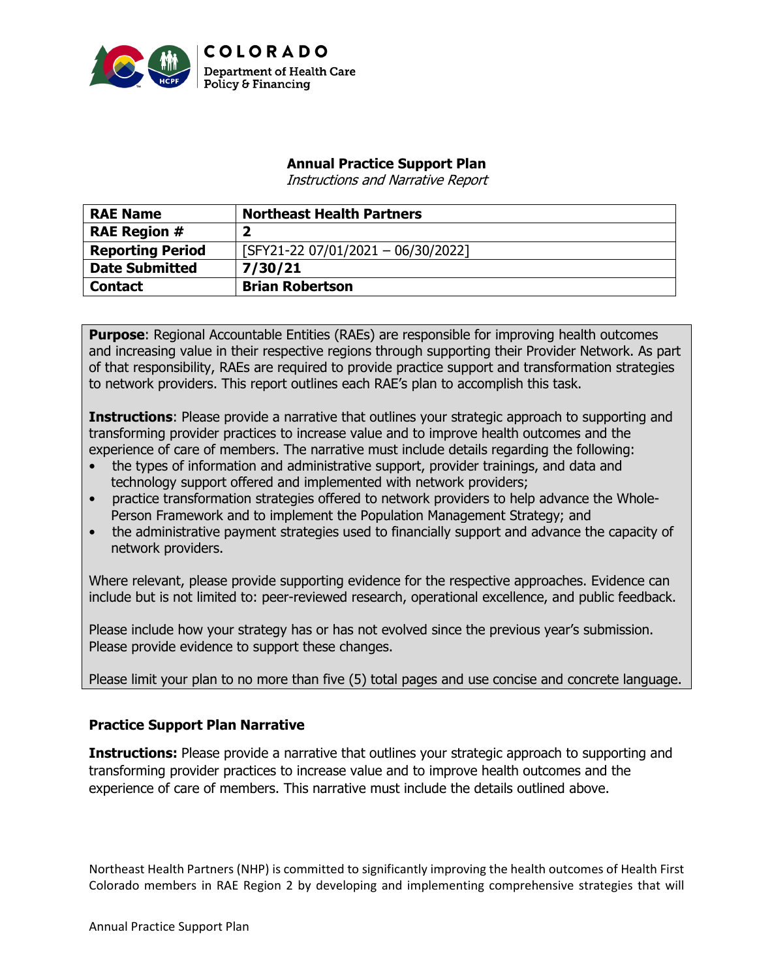

## **Annual Practice Support Plan**

Instructions and Narrative Report

| <b>RAE Name</b>         | <b>Northeast Health Partners</b>     |
|-------------------------|--------------------------------------|
| <b>RAE Region #</b>     |                                      |
| <b>Reporting Period</b> | $[SFY21-22 07/01/2021 - 06/30/2022]$ |
| <b>Date Submitted</b>   | 7/30/21                              |
| <b>Contact</b>          | <b>Brian Robertson</b>               |

**Purpose:** Regional Accountable Entities (RAEs) are responsible for improving health outcomes and increasing value in their respective regions through supporting their Provider Network. As part of that responsibility, RAEs are required to provide practice support and transformation strategies to network providers. This report outlines each RAE's plan to accomplish this task.

**Instructions**: Please provide a narrative that outlines your strategic approach to supporting and transforming provider practices to increase value and to improve health outcomes and the experience of care of members. The narrative must include details regarding the following:

- the types of information and administrative support, provider trainings, and data and technology support offered and implemented with network providers;
- practice transformation strategies offered to network providers to help advance the Whole-Person Framework and to implement the Population Management Strategy; and
- the administrative payment strategies used to financially support and advance the capacity of network providers.

Where relevant, please provide supporting evidence for the respective approaches. Evidence can include but is not limited to: peer-reviewed research, operational excellence, and public feedback.

Please include how your strategy has or has not evolved since the previous year's submission. Please provide evidence to support these changes.

Please limit your plan to no more than five (5) total pages and use concise and concrete language.

# **Practice Support Plan Narrative**

**Instructions:** Please provide a narrative that outlines your strategic approach to supporting and transforming provider practices to increase value and to improve health outcomes and the experience of care of members. This narrative must include the details outlined above.

Northeast Health Partners (NHP) is committed to significantly improving the health outcomes of Health First Colorado members in RAE Region 2 by developing and implementing comprehensive strategies that will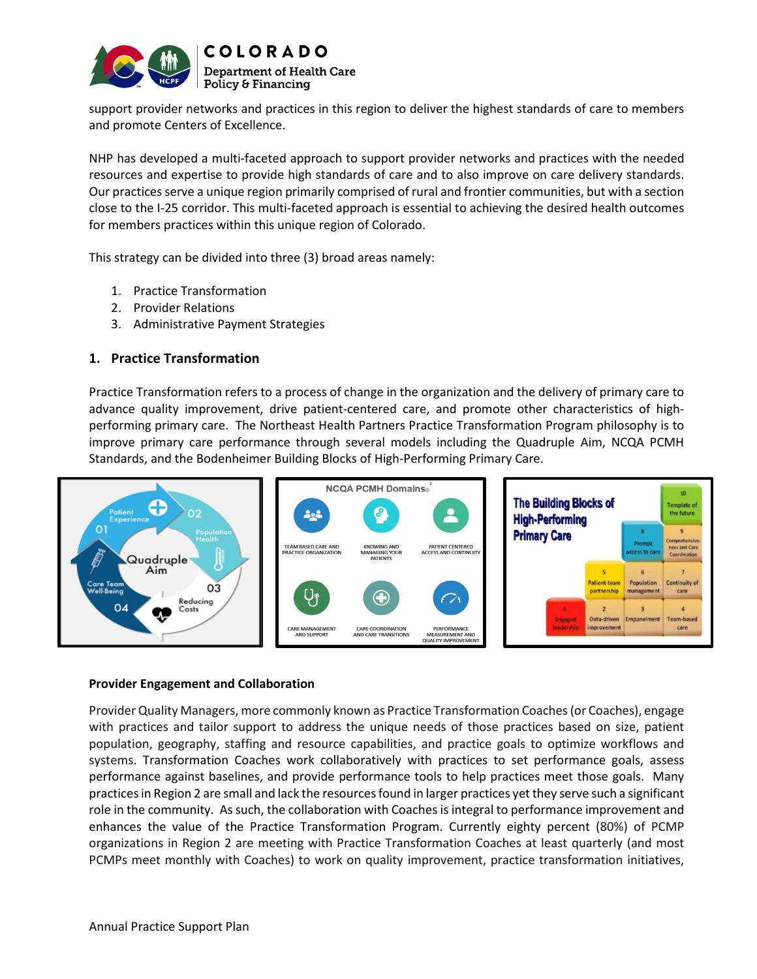

Policy & Financing support provider networks and practices in this region to deliver the highest standards of care to members and promote Centers of Excellence.

NHP has developed a multi-faceted approach to support provider networks and practices with the needed resources and expertise to provide high standards of care and to also improve on care delivery standards. Our practices serve a unique region primarily comprised of rural and frontier communities, but with a section close to the I-25 corridor. This multi-faceted approach is essential to achieving the desired health outcomes for members practices within this unique region of Colorado.

This strategy can be divided into three (3) broad areas namely:

- 1. Practice Transformation
- 2. Provider Relations
- 3. Administrative Payment Strategies

## **1. Practice Transformation**

Practice Transformation refers to a process of change in the organization and the delivery of primary care to advance quality improvement, drive patient-centered care, and promote other characteristics of highperforming primary care.The Northeast Health Partners Practice Transformation Program philosophy is to improve primary care performance through several models including the Quadruple Aim, NCQA PCMH Standards, and the Bodenheimer Building Blocks of High-Performing Primary Care.



### **Provider Engagement and Collaboration**

Provider Quality Managers, more commonly known as Practice Transformation Coaches (or Coaches), engage with practices and tailor support to address the unique needs of those practices based on size, patient population, geography, staffing and resource capabilities, and practice goals to optimize workflows and systems. Transformation Coaches work collaboratively with practices to set performance goals, assess performance against baselines, and provide performance tools to help practices meet those goals. Many practices in Region 2 are small and lack the resources found in larger practices yet they serve such a significant role in the community. As such, the collaboration with Coaches is integral to performance improvement and enhances the value of the Practice Transformation Program. Currently eighty percent (80%) of PCMP organizations in Region 2 are meeting with Practice Transformation Coaches at least quarterly (and most PCMPs meet monthly with Coaches) to work on quality improvement, practice transformation initiatives,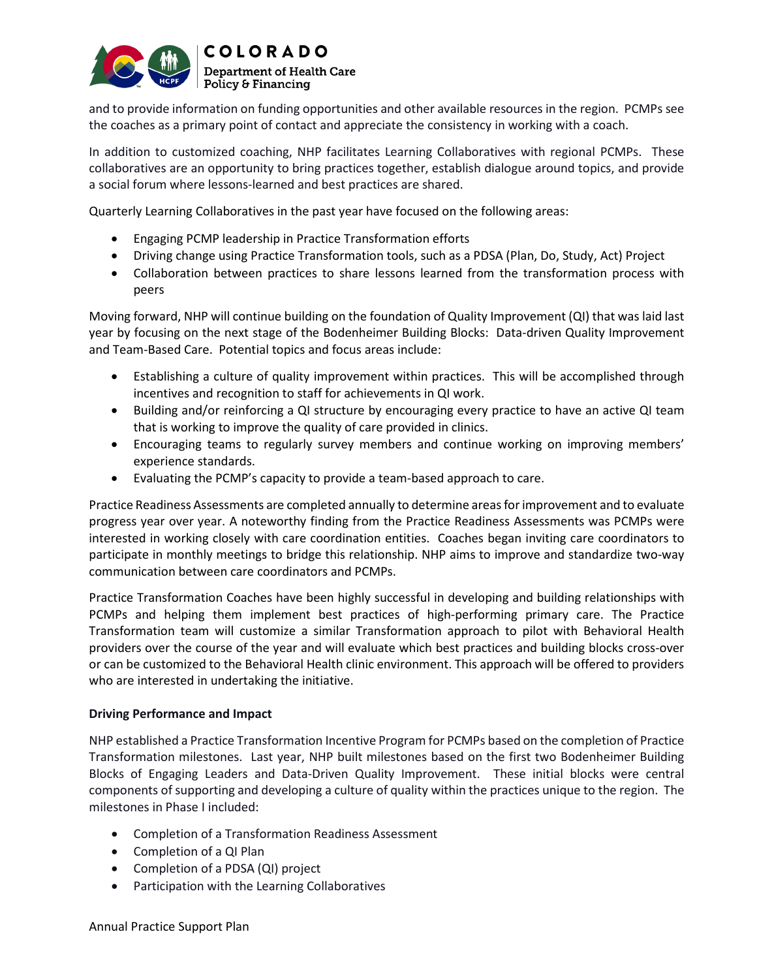

and to provide information on funding opportunities and other available resources in the region. PCMPs see the coaches as a primary point of contact and appreciate the consistency in working with a coach.

In addition to customized coaching, NHP facilitates Learning Collaboratives with regional PCMPs. These collaboratives are an opportunity to bring practices together, establish dialogue around topics, and provide a social forum where lessons-learned and best practices are shared.

Quarterly Learning Collaboratives in the past year have focused on the following areas:

- Engaging PCMP leadership in Practice Transformation efforts
- Driving change using Practice Transformation tools, such as a PDSA (Plan, Do, Study, Act) Project
- Collaboration between practices to share lessons learned from the transformation process with peers

Moving forward, NHP will continue building on the foundation of Quality Improvement (QI) that was laid last year by focusing on the next stage of the Bodenheimer Building Blocks: Data-driven Quality Improvement and Team-Based Care. Potential topics and focus areas include:

- Establishing a culture of quality improvement within practices. This will be accomplished through incentives and recognition to staff for achievements in QI work.
- Building and/or reinforcing a QI structure by encouraging every practice to have an active QI team that is working to improve the quality of care provided in clinics.
- Encouraging teams to regularly survey members and continue working on improving members' experience standards.
- Evaluating the PCMP's capacity to provide a team-based approach to care.

Practice Readiness Assessments are completed annually to determine areas for improvement and to evaluate progress year over year. A noteworthy finding from the Practice Readiness Assessments was PCMPs were interested in working closely with care coordination entities. Coaches began inviting care coordinators to participate in monthly meetings to bridge this relationship. NHP aims to improve and standardize two-way communication between care coordinators and PCMPs.

Practice Transformation Coaches have been highly successful in developing and building relationships with PCMPs and helping them implement best practices of high-performing primary care. The Practice Transformation team will customize a similar Transformation approach to pilot with Behavioral Health providers over the course of the year and will evaluate which best practices and building blocks cross-over or can be customized to the Behavioral Health clinic environment. This approach will be offered to providers who are interested in undertaking the initiative.

## **Driving Performance and Impact**

NHP established a Practice Transformation Incentive Program for PCMPs based on the completion of Practice Transformation milestones. Last year, NHP built milestones based on the first two Bodenheimer Building Blocks of Engaging Leaders and Data-Driven Quality Improvement. These initial blocks were central components of supporting and developing a culture of quality within the practices unique to the region. The milestones in Phase I included:

- Completion of a Transformation Readiness Assessment
- Completion of a QI Plan
- Completion of a PDSA (QI) project
- Participation with the Learning Collaboratives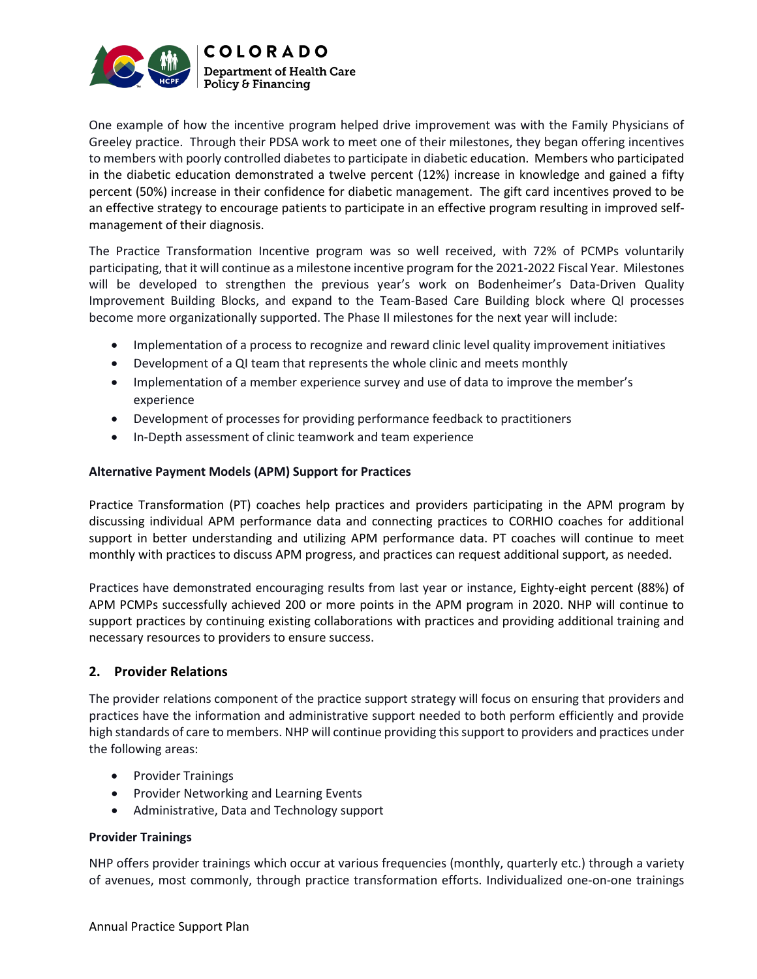

One example of how the incentive program helped drive improvement was with the Family Physicians of Greeley practice. Through their PDSA work to meet one of their milestones, they began offering incentives to members with poorly controlled diabetes to participate in diabetic education. Members who participated in the diabetic education demonstrated a twelve percent (12%) increase in knowledge and gained a fifty percent (50%) increase in their confidence for diabetic management. The gift card incentives proved to be an effective strategy to encourage patients to participate in an effective program resulting in improved selfmanagement of their diagnosis.

The Practice Transformation Incentive program was so well received, with 72% of PCMPs voluntarily participating, that it will continue as a milestone incentive program for the 2021-2022 Fiscal Year. Milestones will be developed to strengthen the previous year's work on Bodenheimer's Data-Driven Quality Improvement Building Blocks, and expand to the Team-Based Care Building block where QI processes become more organizationally supported. The Phase II milestones for the next year will include:

- Implementation of a process to recognize and reward clinic level quality improvement initiatives
- Development of a QI team that represents the whole clinic and meets monthly
- Implementation of a member experience survey and use of data to improve the member's experience
- Development of processes for providing performance feedback to practitioners
- In-Depth assessment of clinic teamwork and team experience

## **Alternative Payment Models (APM) Support for Practices**

Practice Transformation (PT) coaches help practices and providers participating in the APM program by discussing individual APM performance data and connecting practices to CORHIO coaches for additional support in better understanding and utilizing APM performance data. PT coaches will continue to meet monthly with practices to discuss APM progress, and practices can request additional support, as needed.

Practices have demonstrated encouraging results from last year or instance, Eighty-eight percent (88%) of APM PCMPs successfully achieved 200 or more points in the APM program in 2020. NHP will continue to support practices by continuing existing collaborations with practices and providing additional training and necessary resources to providers to ensure success.

## **2. Provider Relations**

The provider relations component of the practice support strategy will focus on ensuring that providers and practices have the information and administrative support needed to both perform efficiently and provide high standards of care to members. NHP will continue providing this support to providers and practices under the following areas:

- Provider Trainings
- Provider Networking and Learning Events
- Administrative, Data and Technology support

## **Provider Trainings**

NHP offers provider trainings which occur at various frequencies (monthly, quarterly etc.) through a variety of avenues, most commonly, through practice transformation efforts. Individualized one-on-one trainings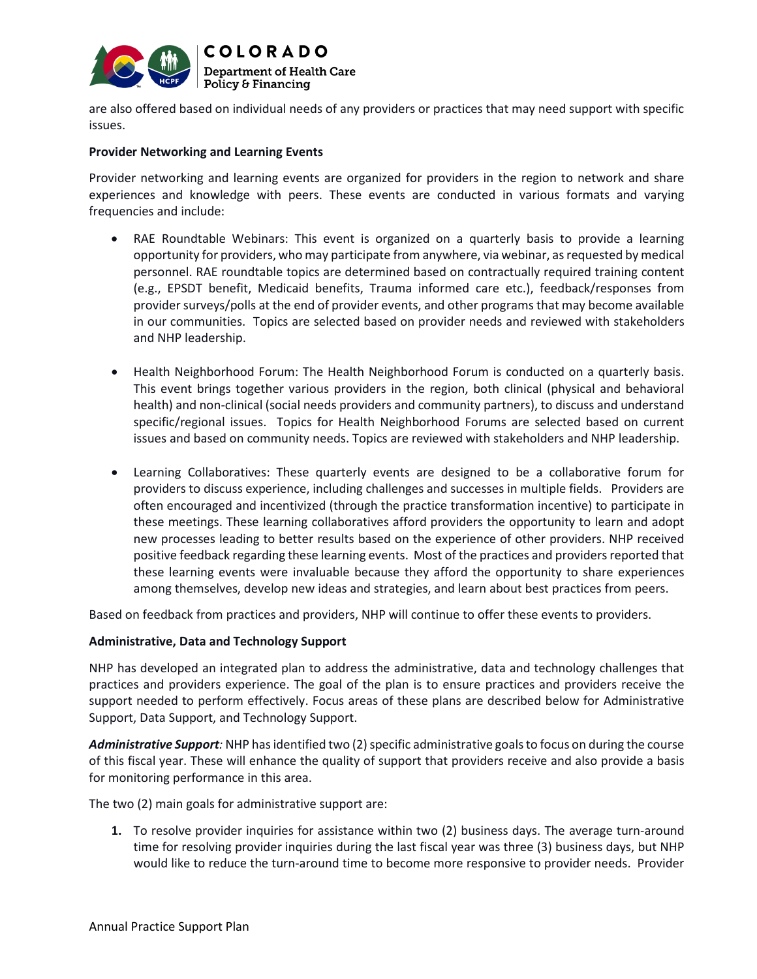

are also offered based on individual needs of any providers or practices that may need support with specific issues.

### **Provider Networking and Learning Events**

Provider networking and learning events are organized for providers in the region to network and share experiences and knowledge with peers. These events are conducted in various formats and varying frequencies and include:

- RAE Roundtable Webinars: This event is organized on a quarterly basis to provide a learning opportunity for providers, who may participate from anywhere, via webinar, as requested by medical personnel. RAE roundtable topics are determined based on contractually required training content (e.g., EPSDT benefit, Medicaid benefits, Trauma informed care etc.), feedback/responses from provider surveys/polls at the end of provider events, and other programs that may become available in our communities. Topics are selected based on provider needs and reviewed with stakeholders and NHP leadership.
- Health Neighborhood Forum: The Health Neighborhood Forum is conducted on a quarterly basis. This event brings together various providers in the region, both clinical (physical and behavioral health) and non-clinical (social needs providers and community partners), to discuss and understand specific/regional issues. Topics for Health Neighborhood Forums are selected based on current issues and based on community needs. Topics are reviewed with stakeholders and NHP leadership.
- Learning Collaboratives: These quarterly events are designed to be a collaborative forum for providers to discuss experience, including challenges and successes in multiple fields. Providers are often encouraged and incentivized (through the practice transformation incentive) to participate in these meetings. These learning collaboratives afford providers the opportunity to learn and adopt new processes leading to better results based on the experience of other providers. NHP received positive feedback regarding these learning events. Most of the practices and providers reported that these learning events were invaluable because they afford the opportunity to share experiences among themselves, develop new ideas and strategies, and learn about best practices from peers.

Based on feedback from practices and providers, NHP will continue to offer these events to providers.

### **Administrative, Data and Technology Support**

NHP has developed an integrated plan to address the administrative, data and technology challenges that practices and providers experience. The goal of the plan is to ensure practices and providers receive the support needed to perform effectively. Focus areas of these plans are described below for Administrative Support, Data Support, and Technology Support.

Administrative Support: NHP has identified two (2) specific administrative goals to focus on during the course of this fiscal year. These will enhance the quality of support that providers receive and also provide a basis for monitoring performance in this area.

The two (2) main goals for administrative support are:

**1.** To resolve provider inquiries for assistance within two (2) business days. The average turn-around time for resolving provider inquiries during the last fiscal year was three (3) business days, but NHP would like to reduce the turn-around time to become more responsive to provider needs. Provider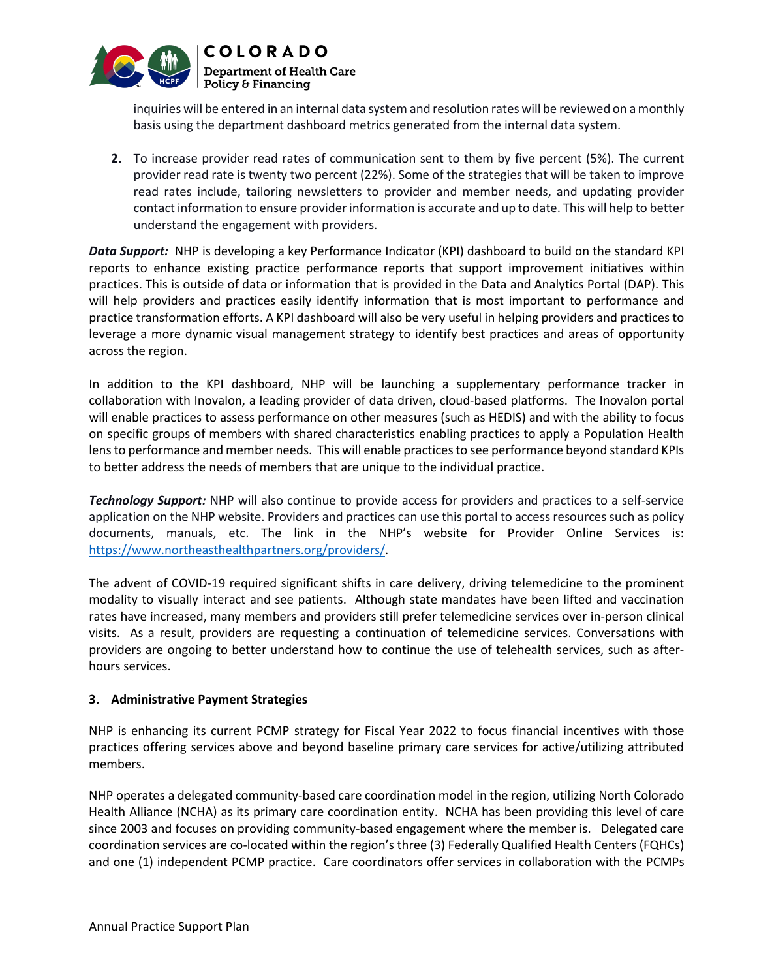

inquiries will be entered in an internal data system and resolution rates will be reviewed on a monthly basis using the department dashboard metrics generated from the internal data system.

**2.** To increase provider read rates of communication sent to them by five percent (5%). The current provider read rate is twenty two percent (22%). Some of the strategies that will be taken to improve read rates include, tailoring newsletters to provider and member needs, and updating provider contact information to ensure provider information is accurate and up to date. This will help to better understand the engagement with providers.

*Data Support:* NHP is developing a key Performance Indicator (KPI) dashboard to build on the standard KPI reports to enhance existing practice performance reports that support improvement initiatives within practices. This is outside of data or information that is provided in the Data and Analytics Portal (DAP). This will help providers and practices easily identify information that is most important to performance and practice transformation efforts. A KPI dashboard will also be very useful in helping providers and practices to leverage a more dynamic visual management strategy to identify best practices and areas of opportunity across the region.

In addition to the KPI dashboard, NHP will be launching a supplementary performance tracker in collaboration with Inovalon, a leading provider of data driven, cloud-based platforms. The Inovalon portal will enable practices to assess performance on other measures (such as HEDIS) and with the ability to focus on specific groups of members with shared characteristics enabling practices to apply a Population Health lensto performance and member needs. This will enable practices to see performance beyond standard KPIs to better address the needs of members that are unique to the individual practice.

*Technology Support:* NHP will also continue to provide access for providers and practices to a self-service application on the NHP website. Providers and practices can use this portal to access resources such as policy documents, manuals, etc. The link in the NHP's website for Provider Online Services is: [https://www.northeasthealthpartners.org/providers/.](https://www.northeasthealthpartners.org/providers/)

The advent of COVID-19 required significant shifts in care delivery, driving telemedicine to the prominent modality to visually interact and see patients. Although state mandates have been lifted and vaccination rates have increased, many members and providers still prefer telemedicine services over in-person clinical visits. As a result, providers are requesting a continuation of telemedicine services. Conversations with providers are ongoing to better understand how to continue the use of telehealth services, such as afterhours services.

## **3. Administrative Payment Strategies**

NHP is enhancing its current PCMP strategy for Fiscal Year 2022 to focus financial incentives with those practices offering services above and beyond baseline primary care services for active/utilizing attributed members.

NHP operates a delegated community-based care coordination model in the region, utilizing North Colorado Health Alliance (NCHA) as its primary care coordination entity. NCHA has been providing this level of care since 2003 and focuses on providing community-based engagement where the member is. Delegated care coordination services are co-located within the region's three (3) Federally Qualified Health Centers (FQHCs) and one (1) independent PCMP practice. Care coordinators offer services in collaboration with the PCMPs